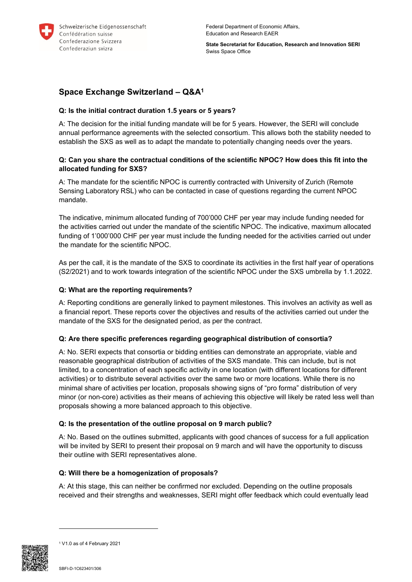

**State Secretariat for Education, Research and Innovation SERI** Swiss Space Office

# **Space Exchange Switzerland – Q&A<sup>1</sup>**

# **Q: Is the initial contract duration 1.5 years or 5 years?**

A: The decision for the initial funding mandate will be for 5 years. However, the SERI will conclude annual performance agreements with the selected consortium. This allows both the stability needed to establish the SXS as well as to adapt the mandate to potentially changing needs over the years.

# **Q: Can you share the contractual conditions of the scientific NPOC? How does this fit into the allocated funding for SXS?**

A: The mandate for the scientific NPOC is currently contracted with University of Zurich (Remote Sensing Laboratory RSL) who can be contacted in case of questions regarding the current NPOC mandate.

The indicative, minimum allocated funding of 700'000 CHF per year may include funding needed for the activities carried out under the mandate of the scientific NPOC. The indicative, maximum allocated funding of 1'000'000 CHF per year must include the funding needed for the activities carried out under the mandate for the scientific NPOC.

As per the call, it is the mandate of the SXS to coordinate its activities in the first half year of operations (S2/2021) and to work towards integration of the scientific NPOC under the SXS umbrella by 1.1.2022.

## **Q: What are the reporting requirements?**

A: Reporting conditions are generally linked to payment milestones. This involves an activity as well as a financial report. These reports cover the objectives and results of the activities carried out under the mandate of the SXS for the designated period, as per the contract.

### **Q: Are there specific preferences regarding geographical distribution of consortia?**

A: No. SERI expects that consortia or bidding entities can demonstrate an appropriate, viable and reasonable geographical distribution of activities of the SXS mandate. This can include, but is not limited, to a concentration of each specific activity in one location (with different locations for different activities) or to distribute several activities over the same two or more locations. While there is no minimal share of activities per location, proposals showing signs of "pro forma" distribution of very minor (or non-core) activities as their means of achieving this objective will likely be rated less well than proposals showing a more balanced approach to this objective.

### **Q: Is the presentation of the outline proposal on 9 march public?**

A: No. Based on the outlines submitted, applicants with good chances of success for a full application will be invited by SERI to present their proposal on 9 march and will have the opportunity to discuss their outline with SERI representatives alone.

### **Q: Will there be a homogenization of proposals?**

A: At this stage, this can neither be confirmed nor excluded. Depending on the outline proposals received and their strengths and weaknesses, SERI might offer feedback which could eventually lead